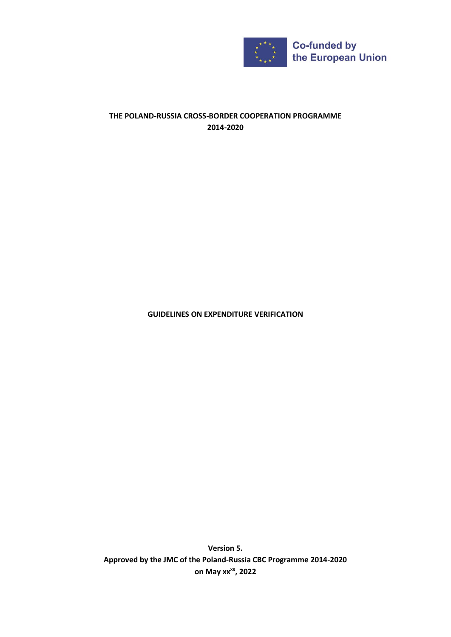

# **THE POLAND-RUSSIA CROSS-BORDER COOPERATION PROGRAMME 2014-2020**

**GUIDELINES ON EXPENDITURE VERIFICATION**

**Version 5. Approved by the JMC of the Poland-Russia CBC Programme 2014-2020 on May xxxx, 2022**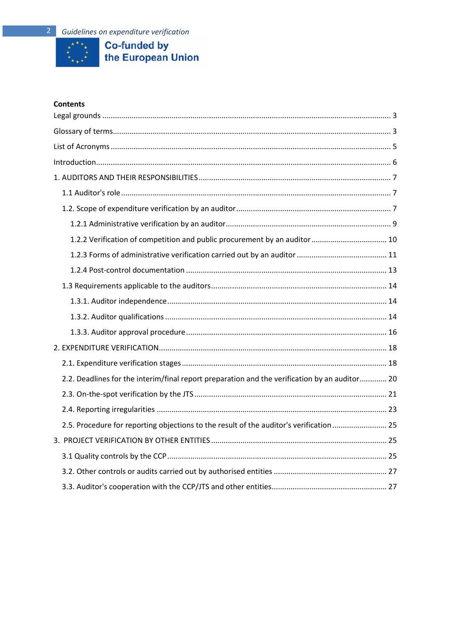

# **Co-funded by<br>the European Union**

## **Contents**

| 1.2.2 Verification of competition and public procurement by an auditor  10                    |  |
|-----------------------------------------------------------------------------------------------|--|
|                                                                                               |  |
|                                                                                               |  |
|                                                                                               |  |
|                                                                                               |  |
|                                                                                               |  |
|                                                                                               |  |
|                                                                                               |  |
|                                                                                               |  |
| 2.2. Deadlines for the interim/final report preparation and the verification by an auditor 20 |  |
|                                                                                               |  |
|                                                                                               |  |
| 2.5. Procedure for reporting objections to the result of the auditor's verification  25       |  |
|                                                                                               |  |
|                                                                                               |  |
|                                                                                               |  |
|                                                                                               |  |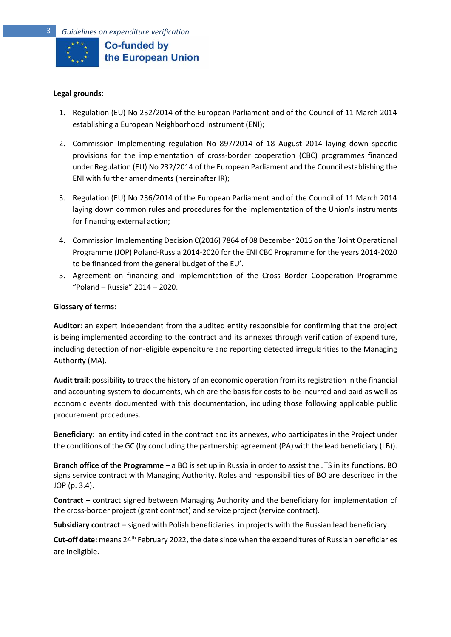

#### <span id="page-2-0"></span>**Legal grounds:**

- 1. Regulation (EU) No 232/2014 of the European Parliament and of the Council of 11 March 2014 establishing a European Neighborhood Instrument (ENI);
- 2. Commission Implementing regulation No 897/2014 of 18 August 2014 laying down specific provisions for the implementation of cross-border cooperation (CBC) programmes financed under Regulation (EU) No 232/2014 of the European Parliament and the Council establishing the ENI with further amendments (hereinafter IR);
- 3. Regulation (EU) No 236/2014 of the European Parliament and of the Council of 11 March 2014 laying down common rules and procedures for the implementation of the Union's instruments for financing external action;
- 4. Commission Implementing Decision C(2016) 7864 of 08 December 2016 on the 'Joint Operational Programme (JOP) Poland-Russia 2014-2020 for the ENI CBC Programme for the years 2014-2020 to be financed from the general budget of the EU'.
- 5. Agreement on financing and implementation of the Cross Border Cooperation Programme "Poland – Russia" 2014 – 2020.

#### <span id="page-2-1"></span>**Glossary of terms**:

**Auditor**: an expert independent from the audited entity responsible for confirming that the project is being implemented according to the contract and its annexes through verification of expenditure, including detection of non-eligible expenditure and reporting detected irregularities to the Managing Authority (MA).

**Audit trail**: possibility to track the history of an economic operation from its registration in the financial and accounting system to documents, which are the basis for costs to be incurred and paid as well as economic events documented with this documentation, including those following applicable public procurement procedures.

**Beneficiary**: an entity indicated in the contract and its annexes, who participates in the Project under the conditions of the GC (by concluding the partnership agreement (PA) with the lead beneficiary (LB)).

**Branch office of the Programme** – a BO is set up in Russia in order to assist the JTS in its functions. BO signs service contract with Managing Authority. Roles and responsibilities of BO are described in the JOP (p. 3.4).

**Contract** – contract signed between Managing Authority and the beneficiary for implementation of the cross-border project (grant contract) and service project (service contract).

**Subsidiary contract** – signed with Polish beneficiaries in projects with the Russian lead beneficiary.

**Cut-off date:** means 24th February 2022, the date since when the expenditures of Russian beneficiaries are ineligible.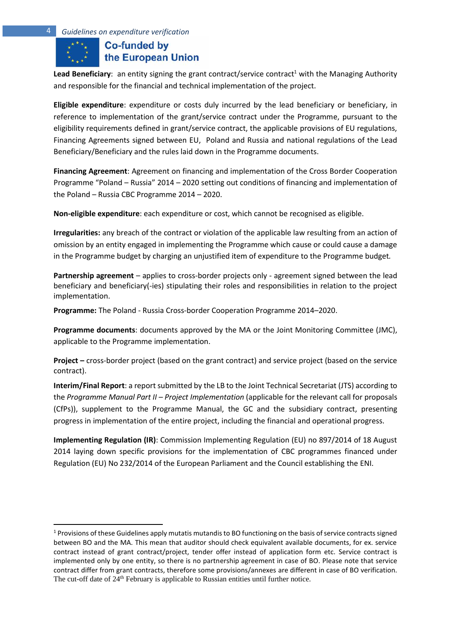**Lead Beneficiary:** an entity signing the grant contract/service contract<sup>1</sup> with the Managing Authority and responsible for the financial and technical implementation of the project.

**Eligible expenditure**: expenditure or costs duly incurred by the lead beneficiary or beneficiary, in reference to implementation of the grant/service contract under the Programme, pursuant to the eligibility requirements defined in grant/service contract, the applicable provisions of EU regulations, Financing Agreements signed between EU, Poland and Russia and national regulations of the Lead Beneficiary/Beneficiary and the rules laid down in the Programme documents.

**Financing Agreement**: Agreement on financing and implementation of the Cross Border Cooperation Programme "Poland – Russia" 2014 – 2020 setting out conditions of financing and implementation of the Poland – Russia CBC Programme 2014 – 2020.

**Non-eligible expenditure**: each expenditure or cost, which cannot be recognised as eligible.

**Irregularities:** any breach of the contract or violation of the applicable law resulting from an action of omission by an entity engaged in implementing the Programme which cause or could cause a damage in the Programme budget by charging an unjustified item of expenditure to the Programme budget*.*

**Partnership agreement** – applies to cross-border projects only - agreement signed between the lead beneficiary and beneficiary(-ies) stipulating their roles and responsibilities in relation to the project implementation.

**Programme:** The Poland - Russia Cross-border Cooperation Programme 2014–2020.

**Programme documents**: documents approved by the MA or the Joint Monitoring Committee (JMC), applicable to the Programme implementation.

**Project –** cross-border project (based on the grant contract) and service project (based on the service contract).

**Interim/Final Report**: a report submitted by the LB to the Joint Technical Secretariat (JTS) according to the *Programme Manual Part II – Project Implementation* (applicable for the relevant call for proposals (CfPs)), supplement to the Programme Manual, the GC and the subsidiary contract, presenting progress in implementation of the entire project, including the financial and operational progress.

**Implementing Regulation (IR)**: Commission Implementing Regulation (EU) no 897/2014 of 18 August 2014 laying down specific provisions for the implementation of CBC programmes financed under Regulation (EU) No 232/2014 of the European Parliament and the Council establishing the ENI.

<sup>&</sup>lt;sup>1</sup> Provisions of these Guidelines apply mutatis mutandis to BO functioning on the basis of service contracts signed between BO and the MA. This mean that auditor should check equivalent available documents, for ex. service contract instead of grant contract/project, tender offer instead of application form etc. Service contract is implemented only by one entity, so there is no partnership agreement in case of BO. Please note that service contract differ from grant contracts, therefore some provisions/annexes are different in case of BO verification. The cut-off date of 24<sup>th</sup> February is applicable to Russian entities until further notice.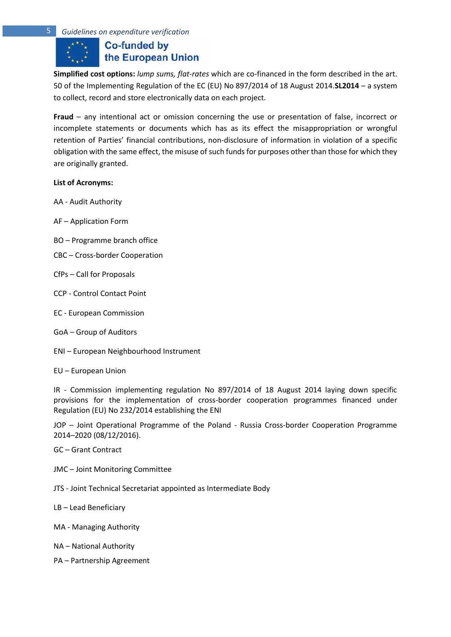# **Co-funded by** the European Union

**Simplified cost options:** *lump sums, flat-rates* which are co-financed in the form described in the art. 50 of the Implementing Regulation of the EC (EU) No 897/2014 of 18 August 2014.**SL2014** – a system to collect, record and store electronically data on each project.

**Fraud** – any intentional act or omission concerning the use or presentation of false, incorrect or incomplete statements or documents which has as its effect the misappropriation or wrongful retention of Parties' financial contributions, non-disclosure of information in violation of a specific obligation with the same effect, the misuse of such funds for purposes other than those for which they are originally granted.

## <span id="page-4-0"></span>**List of Acronyms:**

- AA Audit Authority
- AF Application Form
- BO Programme branch office
- CBC Cross-border Cooperation
- CfPs Call for Proposals
- CCP Control Contact Point
- EC European Commission
- GoA Group of Auditors
- ENI European Neighbourhood Instrument
- EU European Union

IR - Commission implementing regulation No 897/2014 of 18 August 2014 laying down specific provisions for the implementation of cross-border cooperation programmes financed under Regulation (EU) No 232/2014 establishing the ENI

JOP – Joint Operational Programme of the Poland - Russia Cross-border Cooperation Programme 2014–2020 (08/12/2016).

- GC Grant Contract
- JMC Joint Monitoring Committee
- JTS Joint Technical Secretariat appointed as Intermediate Body
- LB Lead Beneficiary
- MA Managing Authority
- NA National Authority
- PA Partnership Agreement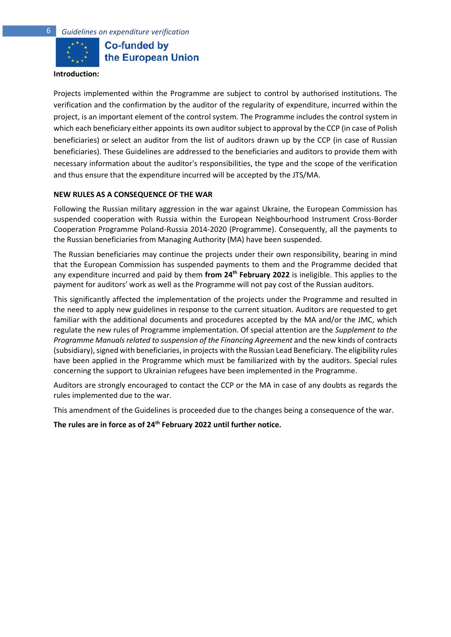

**Co-funded by** the European Union

#### <span id="page-5-0"></span>**Introduction:**

Projects implemented within the Programme are subject to control by authorised institutions. The verification and the confirmation by the auditor of the regularity of expenditure, incurred within the project, is an important element of the control system. The Programme includes the control system in which each beneficiary either appoints its own auditor subject to approval by the CCP (in case of Polish beneficiaries) or select an auditor from the list of auditors drawn up by the CCP (in case of Russian beneficiaries). These Guidelines are addressed to the beneficiaries and auditors to provide them with necessary information about the auditor's responsibilities, the type and the scope of the verification and thus ensure that the expenditure incurred will be accepted by the JTS/MA.

#### **NEW RULES AS A CONSEQUENCE OF THE WAR**

Following the Russian military aggression in the war against Ukraine, the European Commission has suspended cooperation with Russia within the European Neighbourhood Instrument Cross-Border Cooperation Programme Poland-Russia 2014-2020 (Programme). Consequently, all the payments to the Russian beneficiaries from Managing Authority (MA) have been suspended.

The Russian beneficiaries may continue the projects under their own responsibility, bearing in mind that the European Commission has suspended payments to them and the Programme decided that any expenditure incurred and paid by them **from 24th February 2022** is ineligible. This applies to the payment for auditors' work as well as the Programme will not pay cost of the Russian auditors.

This significantly affected the implementation of the projects under the Programme and resulted in the need to apply new guidelines in response to the current situation. Auditors are requested to get familiar with the additional documents and procedures accepted by the MA and/or the JMC, which regulate the new rules of Programme implementation. Of special attention are the *Supplement to the Programme Manuals related to suspension of the Financing Agreement* and the new kinds of contracts (subsidiary), signed with beneficiaries, in projects with the Russian Lead Beneficiary. The eligibility rules have been applied in the Programme which must be familiarized with by the auditors. Special rules concerning the support to Ukrainian refugees have been implemented in the Programme.

Auditors are strongly encouraged to contact the CCP or the MA in case of any doubts as regards the rules implemented due to the war.

This amendment of the Guidelines is proceeded due to the changes being a consequence of the war.

**The rules are in force as of 24th February 2022 until further notice.**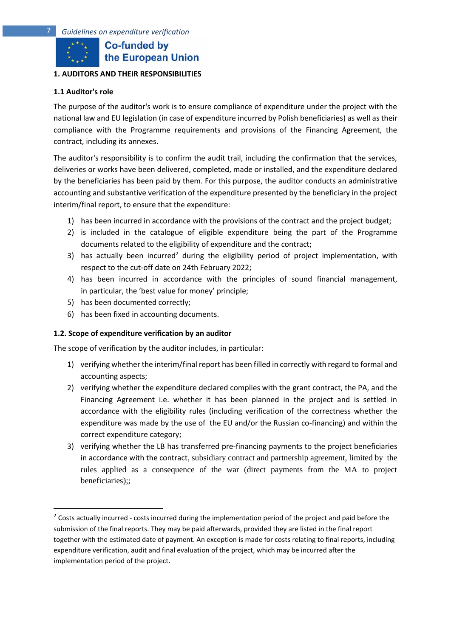## <span id="page-6-0"></span>**1. AUDITORS AND THEIR RESPONSIBILITIES**

## <span id="page-6-1"></span>**1.1 Auditor's role**

The purpose of the auditor's work is to ensure compliance of expenditure under the project with the national law and EU legislation (in case of expenditure incurred by Polish beneficiaries) as well as their compliance with the Programme requirements and provisions of the Financing Agreement, the contract, including its annexes.

The auditor's responsibility is to confirm the audit trail, including the confirmation that the services, deliveries or works have been delivered, completed, made or installed, and the expenditure declared by the beneficiaries has been paid by them. For this purpose, the auditor conducts an administrative accounting and substantive verification of the expenditure presented by the beneficiary in the project interim/final report, to ensure that the expenditure:

- 1) has been incurred in accordance with the provisions of the contract and the project budget;
- 2) is included in the catalogue of eligible expenditure being the part of the Programme documents related to the eligibility of expenditure and the contract;
- 3) has actually been incurred<sup>2</sup> during the eligibility period of project implementation, with respect to the cut-off date on 24th February 2022;
- 4) has been incurred in accordance with the principles of sound financial management, in particular, the 'best value for money' principle;
- 5) has been documented correctly;
- 6) has been fixed in accounting documents.

## <span id="page-6-2"></span>**1.2. Scope of expenditure verification by an auditor**

The scope of verification by the auditor includes, in particular:

- 1) verifying whether the interim/final report has been filled in correctly with regard to formal and accounting aspects;
- 2) verifying whether the expenditure declared complies with the grant contract, the PA, and the Financing Agreement i.e. whether it has been planned in the project and is settled in accordance with the eligibility rules (including verification of the correctness whether the expenditure was made by the use of the EU and/or the Russian co-financing) and within the correct expenditure category;
- 3) verifying whether the LB has transferred pre-financing payments to the project beneficiaries in accordance with the contract, subsidiary contract and partnership agreement, limited by the rules applied as a consequence of the war (direct payments from the MA to project beneficiaries);;

<sup>&</sup>lt;sup>2</sup> Costs actually incurred - costs incurred during the implementation period of the project and paid before the submission of the final reports. They may be paid afterwards, provided they are listed in the final report together with the estimated date of payment. An exception is made for costs relating to final reports, including expenditure verification, audit and final evaluation of the project, which may be incurred after the implementation period of the project.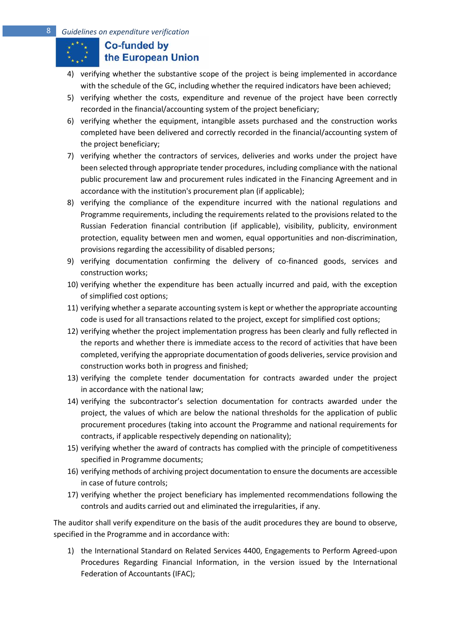- 4) verifying whether the substantive scope of the project is being implemented in accordance with the schedule of the GC, including whether the required indicators have been achieved;
- 5) verifying whether the costs, expenditure and revenue of the project have been correctly recorded in the financial/accounting system of the project beneficiary;
- 6) verifying whether the equipment, intangible assets purchased and the construction works completed have been delivered and correctly recorded in the financial/accounting system of the project beneficiary;
- 7) verifying whether the contractors of services, deliveries and works under the project have been selected through appropriate tender procedures, including compliance with the national public procurement law and procurement rules indicated in the Financing Agreement and in accordance with the institution's procurement plan (if applicable);
- 8) verifying the compliance of the expenditure incurred with the national regulations and Programme requirements, including the requirements related to the provisions related to the Russian Federation financial contribution (if applicable), visibility, publicity, environment protection, equality between men and women, equal opportunities and non-discrimination, provisions regarding the accessibility of disabled persons;
- 9) verifying documentation confirming the delivery of co-financed goods, services and construction works;
- 10) verifying whether the expenditure has been actually incurred and paid, with the exception of simplified cost options;
- 11) verifying whether a separate accounting system is kept or whether the appropriate accounting code is used for all transactions related to the project, except for simplified cost options;
- 12) verifying whether the project implementation progress has been clearly and fully reflected in the reports and whether there is immediate access to the record of activities that have been completed, verifying the appropriate documentation of goods deliveries, service provision and construction works both in progress and finished;
- 13) verifying the complete tender documentation for contracts awarded under the project in accordance with the national law;
- 14) verifying the subcontractor's selection documentation for contracts awarded under the project, the values of which are below the national thresholds for the application of public procurement procedures (taking into account the Programme and national requirements for contracts, if applicable respectively depending on nationality);
- 15) verifying whether the award of contracts has complied with the principle of competitiveness specified in Programme documents;
- 16) verifying methods of archiving project documentation to ensure the documents are accessible in case of future controls;
- 17) verifying whether the project beneficiary has implemented recommendations following the controls and audits carried out and eliminated the irregularities, if any.

The auditor shall verify expenditure on the basis of the audit procedures they are bound to observe, specified in the Programme and in accordance with:

1) the International Standard on Related Services 4400, Engagements to Perform Agreed-upon Procedures Regarding Financial Information, in the version issued by the International Federation of Accountants (IFAC);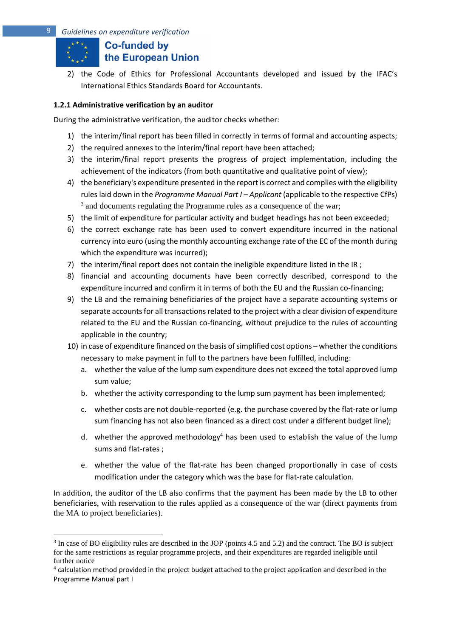2) the Code of Ethics for Professional Accountants developed and issued by the IFAC's International Ethics Standards Board for Accountants.

## <span id="page-8-0"></span>**1.2.1 Administrative verification by an auditor**

During the administrative verification, the auditor checks whether:

- 1) the interim/final report has been filled in correctly in terms of formal and accounting aspects;
- 2) the required annexes to the interim/final report have been attached;
- 3) the interim/final report presents the progress of project implementation, including the achievement of the indicators (from both quantitative and qualitative point of view);
- 4) the beneficiary's expenditure presented in the report is correct and complies with the eligibility rules laid down in the *Programme Manual Part I – Applicant* (applicable to the respective CfPs) <sup>3</sup> and documents regulating the Programme rules as a consequence of the war;
- 5) the limit of expenditure for particular activity and budget headings has not been exceeded;
- 6) the correct exchange rate has been used to convert expenditure incurred in the national currency into euro (using the monthly accounting exchange rate of the EC of the month during which the expenditure was incurred);
- 7) the interim/final report does not contain the ineligible expenditure listed in the IR ;
- 8) financial and accounting documents have been correctly described, correspond to the expenditure incurred and confirm it in terms of both the EU and the Russian co-financing;
- 9) the LB and the remaining beneficiaries of the project have a separate accounting systems or separate accounts for all transactions related to the project with a clear division of expenditure related to the EU and the Russian co-financing, without prejudice to the rules of accounting applicable in the country;
- 10) in case of expenditure financed on the basis of simplified cost options whether the conditions necessary to make payment in full to the partners have been fulfilled, including:
	- a. whether the value of the lump sum expenditure does not exceed the total approved lump sum value;
	- b. whether the activity corresponding to the lump sum payment has been implemented;
	- c. whether costs are not double-reported (e.g. the purchase covered by the flat-rate or lump sum financing has not also been financed as a direct cost under a different budget line);
	- d. whether the approved methodology<sup>4</sup> has been used to establish the value of the lump sums and flat-rates ;
	- e. whether the value of the flat-rate has been changed proportionally in case of costs modification under the category which was the base for flat-rate calculation.

In addition, the auditor of the LB also confirms that the payment has been made by the LB to other beneficiaries, with reservation to the rules applied as a consequence of the war (direct payments from the MA to project beneficiaries).

<sup>&</sup>lt;sup>3</sup> In case of BO eligibility rules are described in the JOP (points 4.5 and 5.2) and the contract. The BO is subject for the same restrictions as regular programme projects, and their expenditures are regarded ineligible until further notice

<sup>&</sup>lt;sup>4</sup> calculation method provided in the project budget attached to the project application and described in the Programme Manual part I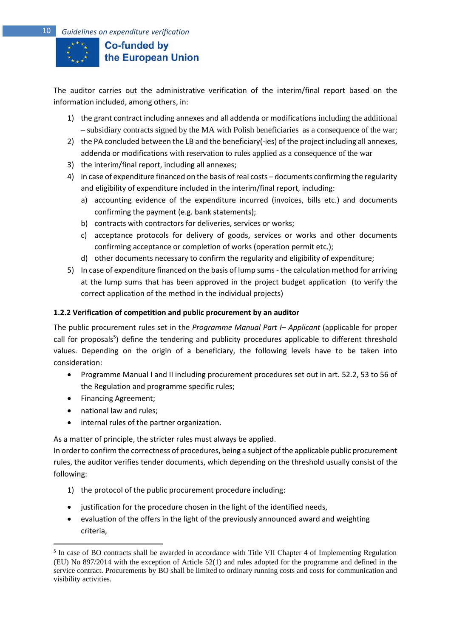

The auditor carries out the administrative verification of the interim/final report based on the information included, among others, in:

- 1) the grant contract including annexes and all addenda or modifications including the additional – subsidiary contracts signed by the MA with Polish beneficiaries as a consequence of the war;
- 2) the PA concluded between the LB and the beneficiary(-ies) of the project including all annexes, addenda or modifications with reservation to rules applied as a consequence of the war
- 3) the interim/final report, including all annexes;
- 4) in case of expenditure financed on the basis of real costs documents confirming the regularity and eligibility of expenditure included in the interim/final report, including:
	- a) accounting evidence of the expenditure incurred (invoices, bills etc.) and documents confirming the payment (e.g. bank statements);
	- b) contracts with contractors for deliveries, services or works;
	- c) acceptance protocols for delivery of goods, services or works and other documents confirming acceptance or completion of works (operation permit etc.);
	- d) other documents necessary to confirm the regularity and eligibility of expenditure;
- 5) In case of expenditure financed on the basis of lump sums the calculation method for arriving at the lump sums that has been approved in the project budget application (to verify the correct application of the method in the individual projects)

## <span id="page-9-0"></span>**1.2.2 Verification of competition and public procurement by an auditor**

The public procurement rules set in the *Programme Manual Part I– Applicant* (applicable for proper call for proposals<sup>5</sup>) define the tendering and publicity procedures applicable to different threshold values. Depending on the origin of a beneficiary, the following levels have to be taken into consideration:

- Programme Manual I and II including procurement procedures set out in art. 52.2, 53 to 56 of the Regulation and programme specific rules;
- Financing Agreement;
- national law and rules;
- internal rules of the partner organization.

As a matter of principle, the stricter rules must always be applied.

In order to confirm the correctness of procedures, being a subject ofthe applicable public procurement rules, the auditor verifies tender documents, which depending on the threshold usually consist of the following:

- 1) the protocol of the public procurement procedure including:
- justification for the procedure chosen in the light of the identified needs,
- evaluation of the offers in the light of the previously announced award and weighting criteria,

<sup>&</sup>lt;sup>5</sup> In case of BO contracts shall be awarded in accordance with Title VII Chapter 4 of Implementing Regulation (EU) No 897/2014 with the exception of Article 52(1) and rules adopted for the programme and defined in the service contract. Procurements by BO shall be limited to ordinary running costs and costs for communication and visibility activities.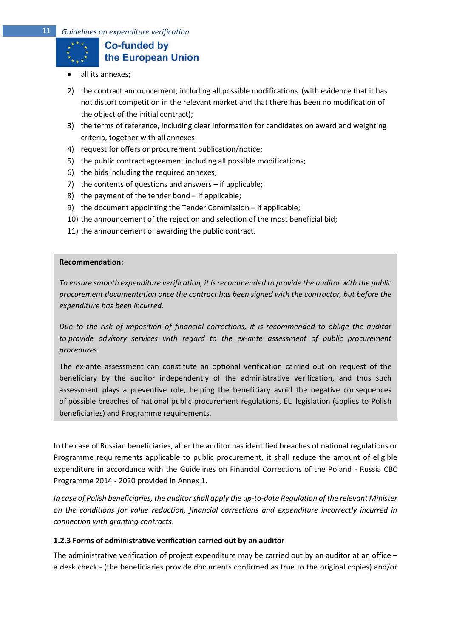

- all its annexes;
- 2) the contract announcement, including all possible modifications (with evidence that it has not distort competition in the relevant market and that there has been no modification of the object of the initial contract);
- 3) the terms of reference, including clear information for candidates on award and weighting criteria, together with all annexes;
- 4) request for offers or procurement publication/notice;
- 5) the public contract agreement including all possible modifications;
- 6) the bids including the required annexes;
- 7) the contents of questions and answers if applicable;
- 8) the payment of the tender bond if applicable;
- 9) the document appointing the Tender Commission if applicable;
- 10) the announcement of the rejection and selection of the most beneficial bid;
- 11) the announcement of awarding the public contract.

#### **Recommendation:**

*To ensure smooth expenditure verification, it is recommended to provide the auditor with the public procurement documentation once the contract has been signed with the contractor, but before the expenditure has been incurred.* 

*Due to the risk of imposition of financial corrections, it is recommended to oblige the auditor to provide advisory services with regard to the ex-ante assessment of public procurement procedures.* 

The ex-ante assessment can constitute an optional verification carried out on request of the beneficiary by the auditor independently of the administrative verification, and thus such assessment plays a preventive role, helping the beneficiary avoid the negative consequences of possible breaches of national public procurement regulations, EU legislation (applies to Polish beneficiaries) and Programme requirements.

In the case of Russian beneficiaries, after the auditor has identified breaches of national regulations or Programme requirements applicable to public procurement, it shall reduce the amount of eligible expenditure in accordance with the Guidelines on Financial Corrections of the Poland - Russia CBC Programme 2014 - 2020 provided in Annex 1.

*In case of Polish beneficiaries, the auditor shall apply the up-to-date Regulation of the relevant Minister on the conditions for value reduction, financial corrections and expenditure incorrectly incurred in connection with granting contracts*.

#### <span id="page-10-0"></span>**1.2.3 Forms of administrative verification carried out by an auditor**

The administrative verification of project expenditure may be carried out by an auditor at an office – a desk check - (the beneficiaries provide documents confirmed as true to the original copies) and/or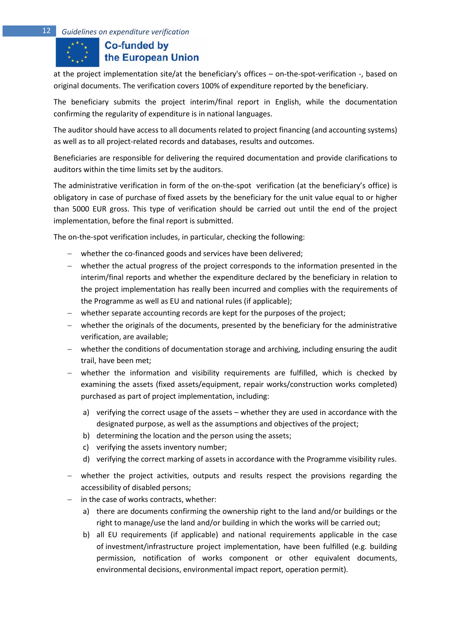at the project implementation site/at the beneficiary's offices – on-the-spot-verification -, based on original documents. The verification covers 100% of expenditure reported by the beneficiary.

The beneficiary submits the project interim/final report in English, while the documentation confirming the regularity of expenditure is in national languages.

The auditor should have access to all documents related to project financing (and accounting systems) as well as to all project-related records and databases, results and outcomes.

Beneficiaries are responsible for delivering the required documentation and provide clarifications to auditors within the time limits set by the auditors.

The administrative verification in form of the on-the-spot verification (at the beneficiary's office) is obligatory in case of purchase of fixed assets by the beneficiary for the unit value equal to or higher than 5000 EUR gross. This type of verification should be carried out until the end of the project implementation, before the final report is submitted.

The on-the-spot verification includes, in particular, checking the following:

- − whether the co-financed goods and services have been delivered;
- − whether the actual progress of the project corresponds to the information presented in the interim/final reports and whether the expenditure declared by the beneficiary in relation to the project implementation has really been incurred and complies with the requirements of the Programme as well as EU and national rules (if applicable);
- − whether separate accounting records are kept for the purposes of the project;
- − whether the originals of the documents, presented by the beneficiary for the administrative verification, are available;
- − whether the conditions of documentation storage and archiving, including ensuring the audit trail, have been met;
- − whether the information and visibility requirements are fulfilled, which is checked by examining the assets (fixed assets/equipment, repair works/construction works completed) purchased as part of project implementation, including:
	- a) verifying the correct usage of the assets whether they are used in accordance with the designated purpose, as well as the assumptions and objectives of the project;
	- b) determining the location and the person using the assets;
	- c) verifying the assets inventory number;
	- d) verifying the correct marking of assets in accordance with the Programme visibility rules.
- − whether the project activities, outputs and results respect the provisions regarding the accessibility of disabled persons;
- in the case of works contracts, whether:
	- a) there are documents confirming the ownership right to the land and/or buildings or the right to manage/use the land and/or building in which the works will be carried out;
	- b) all EU requirements (if applicable) and national requirements applicable in the case of investment/infrastructure project implementation, have been fulfilled (e.g. building permission, notification of works component or other equivalent documents, environmental decisions, environmental impact report, operation permit).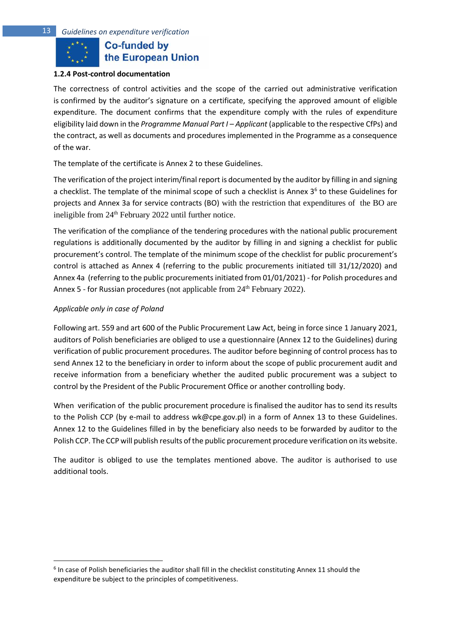

#### <span id="page-12-0"></span>**1.2.4 Post-control documentation**

The correctness of control activities and the scope of the carried out administrative verification is confirmed by the auditor's signature on a certificate, specifying the approved amount of eligible expenditure. The document confirms that the expenditure comply with the rules of expenditure eligibility laid down in the *Programme Manual Part I – Applicant* (applicable to the respective CfPs) and the contract, as well as documents and procedures implemented in the Programme as a consequence of the war.

The template of the certificate is Annex 2 to these Guidelines.

The verification of the project interim/final report is documented by the auditor by filling in and signing a checklist. The template of the minimal scope of such a checklist is Annex 3<sup>6</sup> to these Guidelines for projects and Annex 3a for service contracts (BO) with the restriction that expenditures of the BO are ineligible from 24<sup>th</sup> February 2022 until further notice.

The verification of the compliance of the tendering procedures with the national public procurement regulations is additionally documented by the auditor by filling in and signing a checklist for public procurement's control. The template of the minimum scope of the checklist for public procurement's control is attached as Annex 4 (referring to the public procurements initiated till 31/12/2020) and Annex 4a (referring to the public procurements initiated from 01/01/2021) - for Polish procedures and Annex 5 - for Russian procedures (not applicable from 24<sup>th</sup> February 2022).

## *Applicable only in case of Poland*

Following art. 559 and art 600 of the Public Procurement Law Act, being in force since 1 January 2021, auditors of Polish beneficiaries are obliged to use a questionnaire (Annex 12 to the Guidelines) during verification of public procurement procedures. The auditor before beginning of control process has to send Annex 12 to the beneficiary in order to inform about the scope of public procurement audit and receive information from a beneficiary whether the audited public procurement was a subject to control by the President of the Public Procurement Office or another controlling body.

When verification of the public procurement procedure is finalised the auditor has to send its results to the Polish CCP (by e-mail to address wk@cpe.gov.pl) in a form of Annex 13 to these Guidelines. Annex 12 to the Guidelines filled in by the beneficiary also needs to be forwarded by auditor to the Polish CCP. The CCP will publish results of the public procurement procedure verification on its website.

The auditor is obliged to use the templates mentioned above. The auditor is authorised to use additional tools.

 $<sup>6</sup>$  In case of Polish beneficiaries the auditor shall fill in the checklist constituting Annex 11 should the</sup> expenditure be subject to the principles of competitiveness.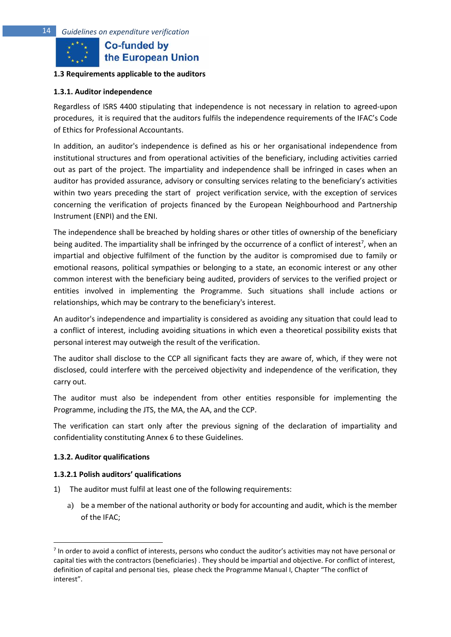#### <span id="page-13-0"></span>**1.3 Requirements applicable to the auditors**

#### <span id="page-13-1"></span>**1.3.1. Auditor independence**

Regardless of ISRS 4400 stipulating that independence is not necessary in relation to agreed-upon procedures, it is required that the auditors fulfils the independence requirements of the IFAC's Code of Ethics for Professional Accountants.

In addition, an auditor's independence is defined as his or her organisational independence from institutional structures and from operational activities of the beneficiary, including activities carried out as part of the project. The impartiality and independence shall be infringed in cases when an auditor has provided assurance, advisory or consulting services relating to the beneficiary's activities within two years preceding the start of project verification service, with the exception of services concerning the verification of projects financed by the European Neighbourhood and Partnership Instrument (ENPI) and the ENI.

The independence shall be breached by holding shares or other titles of ownership of the beneficiary being audited. The impartiality shall be infringed by the occurrence of a conflict of interest<sup>7</sup>, when an impartial and objective fulfilment of the function by the auditor is compromised due to family or emotional reasons, political sympathies or belonging to a state, an economic interest or any other common interest with the beneficiary being audited, providers of services to the verified project or entities involved in implementing the Programme. Such situations shall include actions or relationships, which may be contrary to the beneficiary's interest.

An auditor's independence and impartiality is considered as avoiding any situation that could lead to a conflict of interest, including avoiding situations in which even a theoretical possibility exists that personal interest may outweigh the result of the verification.

The auditor shall disclose to the CCP all significant facts they are aware of, which, if they were not disclosed, could interfere with the perceived objectivity and independence of the verification, they carry out.

The auditor must also be independent from other entities responsible for implementing the Programme, including the JTS, the MA, the AA, and the CCP.

The verification can start only after the previous signing of the declaration of impartiality and confidentiality constituting Annex 6 to these Guidelines.

#### <span id="page-13-2"></span>**1.3.2. Auditor qualifications**

#### **1.3.2.1 Polish auditors' qualifications**

- 1) The auditor must fulfil at least one of the following requirements:
	- a) be a member of the national authority or body for accounting and audit, which is the member of the IFAC;

<sup>&</sup>lt;sup>7</sup> In order to avoid a conflict of interests, persons who conduct the auditor's activities may not have personal or capital ties with the contractors (beneficiaries) . They should be impartial and objective. For conflict of interest, definition of capital and personal ties, please check the Programme Manual I, Chapter "The conflict of interest".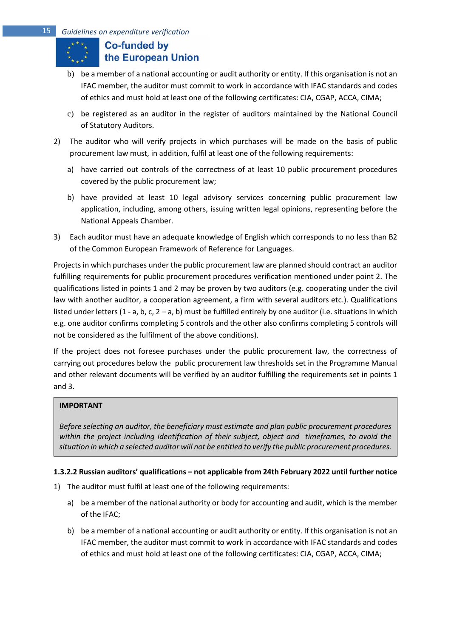- b) be a member of a national accounting or audit authority or entity. If this organisation is not an IFAC member, the auditor must commit to work in accordance with IFAC standards and codes of ethics and must hold at least one of the following certificates: CIA, CGAP, ACCA, CIMA;
- c) be registered as an auditor in the register of auditors maintained by the National Council of Statutory Auditors.
- 2) The auditor who will verify projects in which purchases will be made on the basis of public procurement law must, in addition, fulfil at least one of the following requirements:
	- a) have carried out controls of the correctness of at least 10 public procurement procedures covered by the public procurement law;
	- b) have provided at least 10 legal advisory services concerning public procurement law application, including, among others, issuing written legal opinions, representing before the National Appeals Chamber.
- 3) Each auditor must have an adequate knowledge of English which corresponds to no less than B2 of the Common European Framework of Reference for Languages.

Projects in which purchases under the public procurement law are planned should contract an auditor fulfilling requirements for public procurement procedures verification mentioned under point 2. The qualifications listed in points 1 and 2 may be proven by two auditors (e.g. cooperating under the civil law with another auditor, a cooperation agreement, a firm with several auditors etc.). Qualifications listed under letters (1 - a, b, c, 2 – a, b) must be fulfilled entirely by one auditor (i.e. situations in which e.g. one auditor confirms completing 5 controls and the other also confirms completing 5 controls will not be considered as the fulfilment of the above conditions).

If the project does not foresee purchases under the public procurement law, the correctness of carrying out procedures below the public procurement law thresholds set in the Programme Manual and other relevant documents will be verified by an auditor fulfilling the requirements set in points 1 and 3.

# **IMPORTANT**

*Before selecting an auditor, the beneficiary must estimate and plan public procurement procedures within the project including identification of their subject, object and timeframes, to avoid the situation in which a selected auditor will not be entitled to verify the public procurement procedures.* 

## **1.3.2.2 Russian auditors' qualifications – not applicable from 24th February 2022 until further notice**

- 1) The auditor must fulfil at least one of the following requirements:
	- a) be a member of the national authority or body for accounting and audit, which is the member of the IFAC;
	- b) be a member of a national accounting or audit authority or entity. If this organisation is not an IFAC member, the auditor must commit to work in accordance with IFAC standards and codes of ethics and must hold at least one of the following certificates: CIA, CGAP, ACCA, CIMA;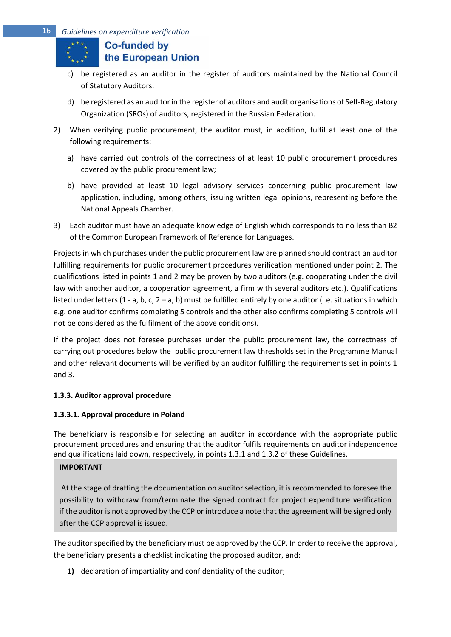- c) be registered as an auditor in the register of auditors maintained by the National Council of Statutory Auditors.
- d) be registered as an auditor in the register of auditors and audit organisations of Self-Regulatory Organization (SROs) of auditors, registered in the Russian Federation.
- 2) When verifying public procurement, the auditor must, in addition, fulfil at least one of the following requirements:
	- a) have carried out controls of the correctness of at least 10 public procurement procedures covered by the public procurement law;
	- b) have provided at least 10 legal advisory services concerning public procurement law application, including, among others, issuing written legal opinions, representing before the National Appeals Chamber.
- 3) Each auditor must have an adequate knowledge of English which corresponds to no less than B2 of the Common European Framework of Reference for Languages.

Projects in which purchases under the public procurement law are planned should contract an auditor fulfilling requirements for public procurement procedures verification mentioned under point 2. The qualifications listed in points 1 and 2 may be proven by two auditors (e.g. cooperating under the civil law with another auditor, a cooperation agreement, a firm with several auditors etc.). Qualifications listed under letters (1 - a, b, c, 2 – a, b) must be fulfilled entirely by one auditor (i.e. situations in which e.g. one auditor confirms completing 5 controls and the other also confirms completing 5 controls will not be considered as the fulfilment of the above conditions).

If the project does not foresee purchases under the public procurement law, the correctness of carrying out procedures below the public procurement law thresholds set in the Programme Manual and other relevant documents will be verified by an auditor fulfilling the requirements set in points 1 and 3.

# <span id="page-15-0"></span>**1.3.3. Auditor approval procedure**

# **1.3.3.1. Approval procedure in Poland**

The beneficiary is responsible for selecting an auditor in accordance with the appropriate public procurement procedures and ensuring that the auditor fulfils requirements on auditor independence and qualifications laid down, respectively, in points 1.3.1 and 1.3.2 of these Guidelines.

## **IMPORTANT**

At the stage of drafting the documentation on auditor selection, it is recommended to foresee the possibility to withdraw from/terminate the signed contract for project expenditure verification if the auditor is not approved by the CCP or introduce a note that the agreement will be signed only after the CCP approval is issued.

The auditor specified by the beneficiary must be approved by the CCP. In order to receive the approval, the beneficiary presents a checklist indicating the proposed auditor, and:

**1)** declaration of impartiality and confidentiality of the auditor;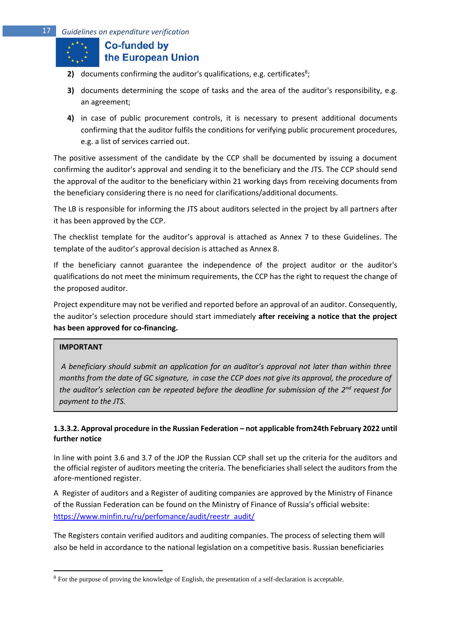- **2)** documents confirming the auditor's qualifications, e.g. certificates<sup>8</sup>;
- **3)** documents determining the scope of tasks and the area of the auditor's responsibility, e.g. an agreement;
- **4)** in case of public procurement controls, it is necessary to present additional documents confirming that the auditor fulfils the conditions for verifying public procurement procedures, e.g. a list of services carried out.

The positive assessment of the candidate by the CCP shall be documented by issuing a document confirming the auditor's approval and sending it to the beneficiary and the JTS. The CCP should send the approval of the auditor to the beneficiary within 21 working days from receiving documents from the beneficiary considering there is no need for clarifications/additional documents.

The LB is responsible for informing the JTS about auditors selected in the project by all partners after it has been approved by the CCP.

The checklist template for the auditor's approval is attached as Annex 7 to these Guidelines. The template of the auditor's approval decision is attached as Annex 8.

If the beneficiary cannot guarantee the independence of the project auditor or the auditor's qualifications do not meet the minimum requirements, the CCP has the right to request the change of the proposed auditor.

Project expenditure may not be verified and reported before an approval of an auditor. Consequently, the auditor's selection procedure should start immediately **after receiving a notice that the project has been approved for co-financing.** 

## **IMPORTANT**

*A beneficiary should submit an application for an auditor's approval not later than within three months from the date of GC signature, in case the CCP does not give its approval, the procedure of the auditor's selection can be repeated before the deadline for submission of the 2nd request for payment to the JTS.* 

## **1.3.3.2. Approval procedure in the Russian Federation – not applicable from24th February 2022 until further notice**

In line with point 3.6 and 3.7 of the JOP the Russian CCP shall set up the criteria for the auditors and the official register of auditors meeting the criteria. The beneficiaries shall select the auditors from the afore-mentioned register.

A Register of auditors and a Register of auditing companies are approved by the Ministry of Finance of the Russian Federation can be found on the Ministry of Finance of Russia's official website: [https://www.minfin.ru/ru/perfomance/audit/reestr\\_audit/](https://www.minfin.ru/ru/perfomance/audit/reestr_audit/)

The Registers contain verified auditors and auditing companies. The process of selecting them will also be held in accordance to the national legislation on a competitive basis. Russian beneficiaries

<sup>8</sup> For the purpose of proving the knowledge of English, the presentation of a self-declaration is acceptable.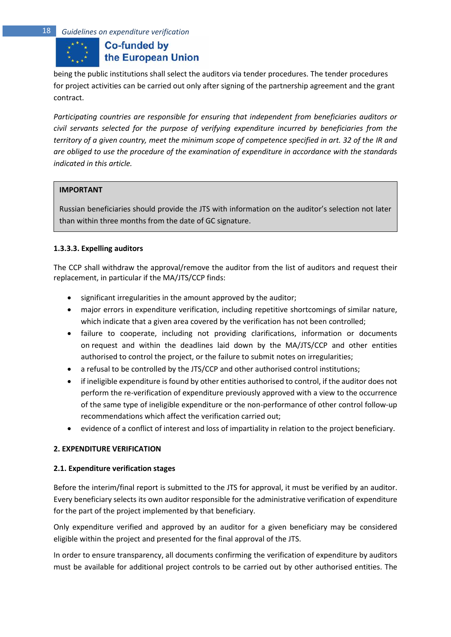being the public institutions shall select the auditors via tender procedures. The tender procedures for project activities can be carried out only after signing of the partnership agreement and the grant contract.

*Participating countries are responsible for ensuring that independent from beneficiaries auditors or civil servants selected for the purpose of verifying expenditure incurred by beneficiaries from the territory of a given country, meet the minimum scope of competence specified in art. 32 of the IR and are obliged to use the procedure of the examination of expenditure in accordance with the standards indicated in this article.*

#### **IMPORTANT**

Russian beneficiaries should provide the JTS with information on the auditor's selection not later than within three months from the date of GC signature.

## **1.3.3.3. Expelling auditors**

The CCP shall withdraw the approval/remove the auditor from the list of auditors and request their replacement, in particular if the MA/JTS/CCP finds:

- significant irregularities in the amount approved by the auditor;
- major errors in expenditure verification, including repetitive shortcomings of similar nature, which indicate that a given area covered by the verification has not been controlled;
- failure to cooperate, including not providing clarifications, information or documents on request and within the deadlines laid down by the MA/JTS/CCP and other entities authorised to control the project, or the failure to submit notes on irregularities;
- a refusal to be controlled by the JTS/CCP and other authorised control institutions;
- if ineligible expenditure is found by other entities authorised to control, if the auditor does not perform the re-verification of expenditure previously approved with a view to the occurrence of the same type of ineligible expenditure or the non-performance of other control follow-up recommendations which affect the verification carried out;
- evidence of a conflict of interest and loss of impartiality in relation to the project beneficiary.

#### <span id="page-17-0"></span>**2. EXPENDITURE VERIFICATION**

#### <span id="page-17-1"></span>**2.1. Expenditure verification stages**

Before the interim/final report is submitted to the JTS for approval, it must be verified by an auditor. Every beneficiary selects its own auditor responsible for the administrative verification of expenditure for the part of the project implemented by that beneficiary.

Only expenditure verified and approved by an auditor for a given beneficiary may be considered eligible within the project and presented for the final approval of the JTS.

In order to ensure transparency, all documents confirming the verification of expenditure by auditors must be available for additional project controls to be carried out by other authorised entities. The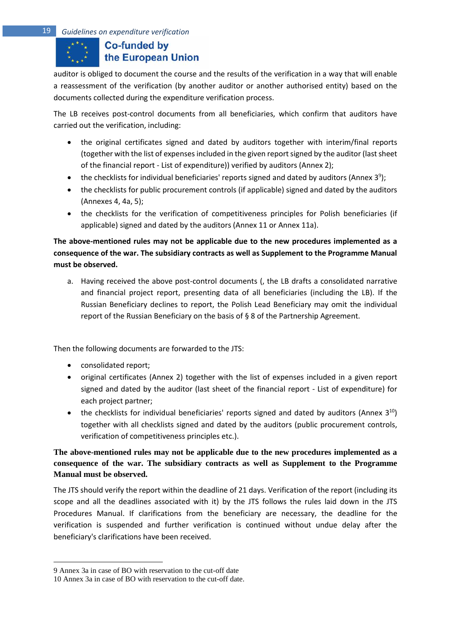auditor is obliged to document the course and the results of the verification in a way that will enable a reassessment of the verification (by another auditor or another authorised entity) based on the documents collected during the expenditure verification process.

The LB receives post-control documents from all beneficiaries, which confirm that auditors have carried out the verification, including:

- the original certificates signed and dated by auditors together with interim/final reports (together with the list of expenses included in the given report signed by the auditor (last sheet of the financial report - List of expenditure)) verified by auditors (Annex 2);
- the checklists for individual beneficiaries' reports signed and dated by auditors (Annex 3<sup>9</sup>);
- the checklists for public procurement controls (if applicable) signed and dated by the auditors (Annexes 4, 4a, 5);
- the checklists for the verification of competitiveness principles for Polish beneficiaries (if applicable) signed and dated by the auditors (Annex 11 or Annex 11a).

**The above-mentioned rules may not be applicable due to the new procedures implemented as a consequence of the war. The subsidiary contracts as well as Supplement to the Programme Manual must be observed.**

a. Having received the above post-control documents (, the LB drafts a consolidated narrative and financial project report, presenting data of all beneficiaries (including the LB). If the Russian Beneficiary declines to report, the Polish Lead Beneficiary may omit the individual report of the Russian Beneficiary on the basis of § 8 of the Partnership Agreement.

Then the following documents are forwarded to the JTS:

- consolidated report;
- original certificates (Annex 2) together with the list of expenses included in a given report signed and dated by the auditor (last sheet of the financial report - List of expenditure) for each project partner;
- the checklists for individual beneficiaries' reports signed and dated by auditors (Annex  $3^{10}$ ) together with all checklists signed and dated by the auditors (public procurement controls, verification of competitiveness principles etc.).

# **The above-mentioned rules may not be applicable due to the new procedures implemented as a consequence of the war. The subsidiary contracts as well as Supplement to the Programme Manual must be observed.**

The JTS should verify the report within the deadline of 21 days. Verification of the report (including its scope and all the deadlines associated with it) by the JTS follows the rules laid down in the JTS Procedures Manual. If clarifications from the beneficiary are necessary, the deadline for the verification is suspended and further verification is continued without undue delay after the beneficiary's clarifications have been received.

<sup>9</sup> Annex 3a in case of BO with reservation to the cut-off date

<sup>10</sup> Annex 3a in case of BO with reservation to the cut-off date.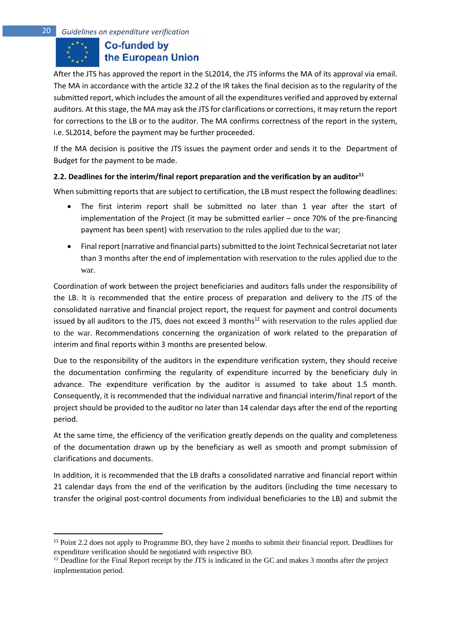After the JTS has approved the report in the SL2014, the JTS informs the MA of its approval via email. The MA in accordance with the article 32.2 of the IR takes the final decision as to the regularity of the submitted report, which includes the amount of all the expenditures verified and approved by external auditors. At this stage, the MA may ask the JTS for clarifications or corrections, it may return the report for corrections to the LB or to the auditor. The MA confirms correctness of the report in the system, i.e. SL2014, before the payment may be further proceeded.

If the MA decision is positive the JTS issues the payment order and sends it to the Department of Budget for the payment to be made.

## <span id="page-19-0"></span>**2.2. Deadlines for the interim/final report preparation and the verification by an auditor<sup>11</sup>**

When submitting reports that are subject to certification, the LB must respect the following deadlines:

- The first interim report shall be submitted no later than 1 year after the start of implementation of the Project (it may be submitted earlier – once 70% of the pre-financing payment has been spent) with reservation to the rules applied due to the war;
- Final report (narrative and financial parts) submitted to the Joint Technical Secretariat not later than 3 months after the end of implementation with reservation to the rules applied due to the war.

Coordination of work between the project beneficiaries and auditors falls under the responsibility of the LB. It is recommended that the entire process of preparation and delivery to the JTS of the consolidated narrative and financial project report, the request for payment and control documents issued by all auditors to the JTS, does not exceed 3 months<sup>12</sup> with reservation to the rules applied due to the war. Recommendations concerning the organization of work related to the preparation of interim and final reports within 3 months are presented below.

Due to the responsibility of the auditors in the expenditure verification system, they should receive the documentation confirming the regularity of expenditure incurred by the beneficiary duly in advance. The expenditure verification by the auditor is assumed to take about 1.5 month. Consequently, it is recommended that the individual narrative and financial interim/final report of the project should be provided to the auditor no later than 14 calendar days after the end of the reporting period.

At the same time, the efficiency of the verification greatly depends on the quality and completeness of the documentation drawn up by the beneficiary as well as smooth and prompt submission of clarifications and documents.

In addition, it is recommended that the LB drafts a consolidated narrative and financial report within 21 calendar days from the end of the verification by the auditors (including the time necessary to transfer the original post-control documents from individual beneficiaries to the LB) and submit the

<sup>&</sup>lt;sup>11</sup> Point 2.2 does not apply to Programme BO, they have 2 months to submit their financial report. Deadlines for expenditure verification should be negotiated with respective BO.

<sup>&</sup>lt;sup>12</sup> Deadline for the Final Report receipt by the JTS is indicated in the GC and makes 3 months after the project implementation period.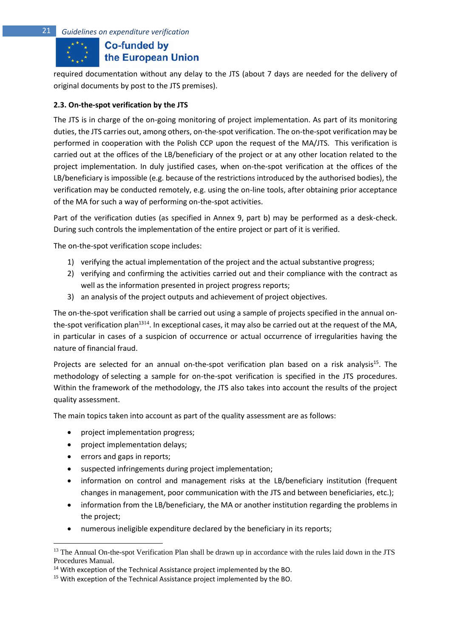# **Co-funded by** the European Union

required documentation without any delay to the JTS (about 7 days are needed for the delivery of original documents by post to the JTS premises).

## <span id="page-20-0"></span>**2.3. On-the-spot verification by the JTS**

The JTS is in charge of the on-going monitoring of project implementation. As part of its monitoring duties, the JTS carries out, among others, on-the-spot verification. The on-the-spot verification may be performed in cooperation with the Polish CCP upon the request of the MA/JTS. This verification is carried out at the offices of the LB/beneficiary of the project or at any other location related to the project implementation. In duly justified cases, when on-the-spot verification at the offices of the LB/beneficiary is impossible (e.g. because of the restrictions introduced by the authorised bodies), the verification may be conducted remotely, e.g. using the on-line tools, after obtaining prior acceptance of the MA for such a way of performing on-the-spot activities.

Part of the verification duties (as specified in Annex 9, part b) may be performed as a desk-check. During such controls the implementation of the entire project or part of it is verified.

The on-the-spot verification scope includes:

- 1) verifying the actual implementation of the project and the actual substantive progress;
- 2) verifying and confirming the activities carried out and their compliance with the contract as well as the information presented in project progress reports;
- 3) an analysis of the project outputs and achievement of project objectives.

The on-the-spot verification shall be carried out using a sample of projects specified in the annual onthe-spot verification plan<sup>1314</sup>. In exceptional cases, it may also be carried out at the request of the MA, in particular in cases of a suspicion of occurrence or actual occurrence of irregularities having the nature of financial fraud.

Projects are selected for an annual on-the-spot verification plan based on a risk analysis<sup>15</sup>. The methodology of selecting a sample for on-the-spot verification is specified in the JTS procedures. Within the framework of the methodology, the JTS also takes into account the results of the project quality assessment.

The main topics taken into account as part of the quality assessment are as follows:

- project implementation progress;
- project implementation delays;
- errors and gaps in reports;
- suspected infringements during project implementation;
- information on control and management risks at the LB/beneficiary institution (frequent changes in management, poor communication with the JTS and between beneficiaries, etc.);
- information from the LB/beneficiary, the MA or another institution regarding the problems in the project;
- numerous ineligible expenditure declared by the beneficiary in its reports;

<sup>&</sup>lt;sup>13</sup> The Annual On-the-spot Verification Plan shall be drawn up in accordance with the rules laid down in the JTS Procedures Manual.

<sup>&</sup>lt;sup>14</sup> With exception of the Technical Assistance project implemented by the BO.

<sup>&</sup>lt;sup>15</sup> With exception of the Technical Assistance project implemented by the BO.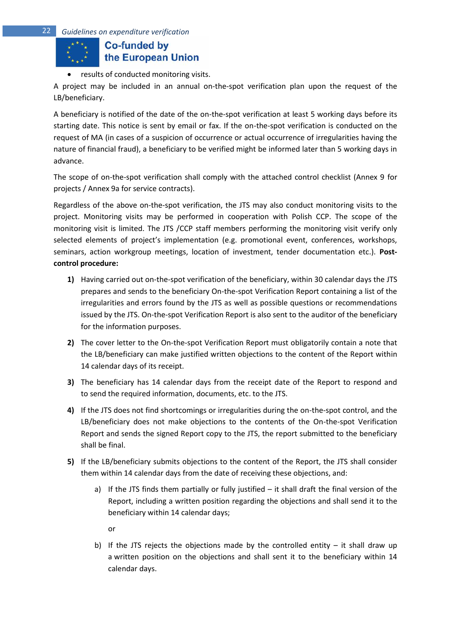• results of conducted monitoring visits.

A project may be included in an annual on-the-spot verification plan upon the request of the LB/beneficiary.

A beneficiary is notified of the date of the on-the-spot verification at least 5 working days before its starting date. This notice is sent by email or fax. If the on-the-spot verification is conducted on the request of MA (in cases of a suspicion of occurrence or actual occurrence of irregularities having the nature of financial fraud), a beneficiary to be verified might be informed later than 5 working days in advance.

The scope of on-the-spot verification shall comply with the attached control checklist (Annex 9 for projects / Annex 9a for service contracts).

Regardless of the above on-the-spot verification, the JTS may also conduct monitoring visits to the project. Monitoring visits may be performed in cooperation with Polish CCP. The scope of the monitoring visit is limited. The JTS /CCP staff members performing the monitoring visit verify only selected elements of project's implementation (e.g. promotional event, conferences, workshops, seminars, action workgroup meetings, location of investment, tender documentation etc.). **Postcontrol procedure:**

- **1)** Having carried out on-the-spot verification of the beneficiary, within 30 calendar days the JTS prepares and sends to the beneficiary On-the-spot Verification Report containing a list of the irregularities and errors found by the JTS as well as possible questions or recommendations issued by the JTS. On-the-spot Verification Report is also sent to the auditor of the beneficiary for the information purposes.
- **2)** The cover letter to the On-the-spot Verification Report must obligatorily contain a note that the LB/beneficiary can make justified written objections to the content of the Report within 14 calendar days of its receipt.
- **3)** The beneficiary has 14 calendar days from the receipt date of the Report to respond and to send the required information, documents, etc. to the JTS.
- **4)** If the JTS does not find shortcomings or irregularities during the on-the-spot control, and the LB/beneficiary does not make objections to the contents of the On-the-spot Verification Report and sends the signed Report copy to the JTS, the report submitted to the beneficiary shall be final.
- **5)** If the LB/beneficiary submits objections to the content of the Report, the JTS shall consider them within 14 calendar days from the date of receiving these objections, and:
	- a) If the JTS finds them partially or fully justified  $-$  it shall draft the final version of the Report, including a written position regarding the objections and shall send it to the beneficiary within 14 calendar days;
		- or
	- b) If the JTS rejects the objections made by the controlled entity  $-$  it shall draw up a written position on the objections and shall sent it to the beneficiary within 14 calendar days.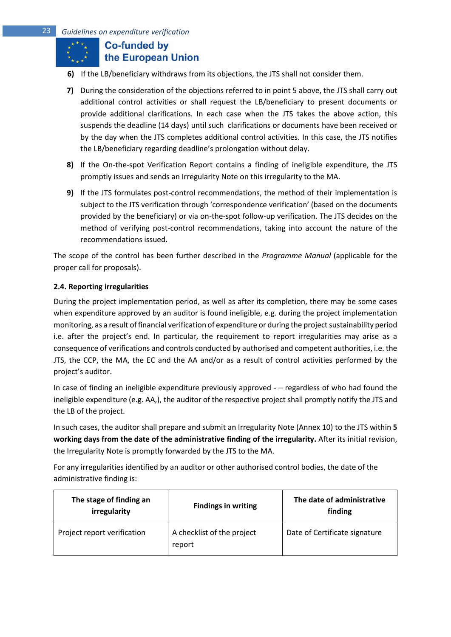- **6)** If the LB/beneficiary withdraws from its objections, the JTS shall not consider them.
- **7)** During the consideration of the objections referred to in point 5 above, the JTS shall carry out additional control activities or shall request the LB/beneficiary to present documents or provide additional clarifications. In each case when the JTS takes the above action, this suspends the deadline (14 days) until such clarifications or documents have been received or by the day when the JTS completes additional control activities. In this case, the JTS notifies the LB/beneficiary regarding deadline's prolongation without delay.
- **8)** If the On-the-spot Verification Report contains a finding of ineligible expenditure, the JTS promptly issues and sends an Irregularity Note on this irregularity to the MA.
- **9)** If the JTS formulates post-control recommendations, the method of their implementation is subject to the JTS verification through 'correspondence verification' (based on the documents provided by the beneficiary) or via on-the-spot follow-up verification. The JTS decides on the method of verifying post-control recommendations, taking into account the nature of the recommendations issued.

The scope of the control has been further described in the *Programme Manual* (applicable for the proper call for proposals).

## <span id="page-22-0"></span>**2.4. Reporting irregularities**

During the project implementation period, as well as after its completion, there may be some cases when expenditure approved by an auditor is found ineligible, e.g. during the project implementation monitoring, as a result of financial verification of expenditure or during the project sustainability period i.e. after the project's end. In particular, the requirement to report irregularities may arise as a consequence of verifications and controls conducted by authorised and competent authorities, i.e. the JTS, the CCP, the MA, the EC and the AA and/or as a result of control activities performed by the project's auditor.

In case of finding an ineligible expenditure previously approved - – regardless of who had found the ineligible expenditure (e.g. AA,), the auditor of the respective project shall promptly notify the JTS and the LB of the project.

In such cases, the auditor shall prepare and submit an Irregularity Note (Annex 10) to the JTS within **5 working days from the date of the administrative finding of the irregularity.** After its initial revision, the Irregularity Note is promptly forwarded by the JTS to the MA.

For any irregularities identified by an auditor or other authorised control bodies, the date of the administrative finding is:

| The stage of finding an<br>irregularity | <b>Findings in writing</b>           | The date of administrative<br>finding |
|-----------------------------------------|--------------------------------------|---------------------------------------|
| Project report verification             | A checklist of the project<br>report | Date of Certificate signature         |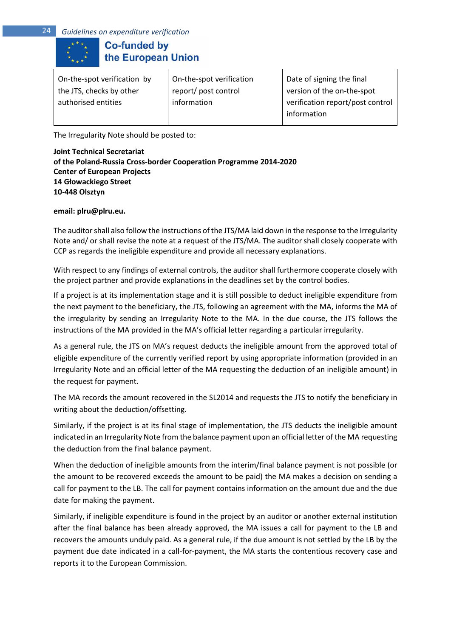| On-the-spot verification | Date of signing the final        |
|--------------------------|----------------------------------|
| report/post control      | version of the on-the-spot       |
| information              | verification report/post control |
|                          | information                      |
|                          |                                  |

The Irregularity Note should be posted to:

## **Joint Technical Secretariat**

**of the Poland-Russia Cross-border Cooperation Programme 2014-2020 Center of European Projects 14 Głowackiego Street 10-448 Olsztyn**

**email: plru@plru.eu.**

The auditor shall also follow the instructions of the JTS/MA laid down in the response to the Irregularity Note and/ or shall revise the note at a request of the JTS/MA. The auditor shall closely cooperate with CCP as regards the ineligible expenditure and provide all necessary explanations.

With respect to any findings of external controls, the auditor shall furthermore cooperate closely with the project partner and provide explanations in the deadlines set by the control bodies.

If a project is at its implementation stage and it is still possible to deduct ineligible expenditure from the next payment to the beneficiary, the JTS, following an agreement with the MA, informs the MA of the irregularity by sending an Irregularity Note to the MA. In the due course, the JTS follows the instructions of the MA provided in the MA's official letter regarding a particular irregularity.

As a general rule, the JTS on MA's request deducts the ineligible amount from the approved total of eligible expenditure of the currently verified report by using appropriate information (provided in an Irregularity Note and an official letter of the MA requesting the deduction of an ineligible amount) in the request for payment.

The MA records the amount recovered in the SL2014 and requests the JTS to notify the beneficiary in writing about the deduction/offsetting.

Similarly, if the project is at its final stage of implementation, the JTS deducts the ineligible amount indicated in an Irregularity Note from the balance payment upon an official letter of the MA requesting the deduction from the final balance payment.

When the deduction of ineligible amounts from the interim/final balance payment is not possible (or the amount to be recovered exceeds the amount to be paid) the MA makes a decision on sending a call for payment to the LB. The call for payment contains information on the amount due and the due date for making the payment.

Similarly, if ineligible expenditure is found in the project by an auditor or another external institution after the final balance has been already approved, the MA issues a call for payment to the LB and recovers the amounts unduly paid. As a general rule, if the due amount is not settled by the LB by the payment due date indicated in a call-for-payment, the MA starts the contentious recovery case and reports it to the European Commission.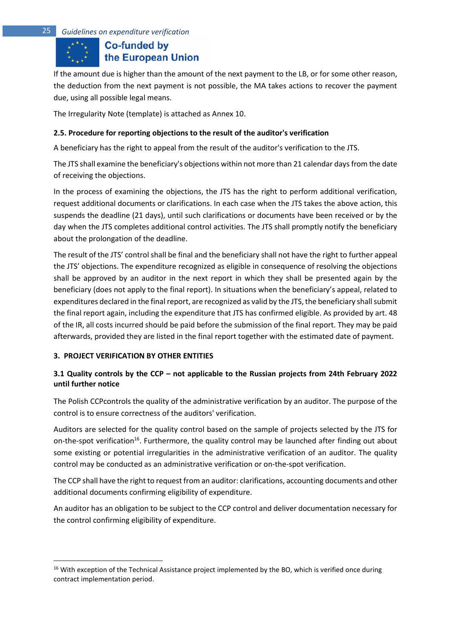If the amount due is higher than the amount of the next payment to the LB, or for some other reason, the deduction from the next payment is not possible, the MA takes actions to recover the payment due, using all possible legal means.

The Irregularity Note (template) is attached as Annex 10.

## <span id="page-24-0"></span>**2.5. Procedure for reporting objections to the result of the auditor's verification**

A beneficiary has the right to appeal from the result of the auditor's verification to the JTS.

The JTS shall examine the beneficiary's objections within not more than 21 calendar days from the date of receiving the objections.

In the process of examining the objections, the JTS has the right to perform additional verification, request additional documents or clarifications. In each case when the JTS takes the above action, this suspends the deadline (21 days), until such clarifications or documents have been received or by the day when the JTS completes additional control activities. The JTS shall promptly notify the beneficiary about the prolongation of the deadline.

The result of the JTS' control shall be final and the beneficiary shall not have the right to further appeal the JTS' objections. The expenditure recognized as eligible in consequence of resolving the objections shall be approved by an auditor in the next report in which they shall be presented again by the beneficiary (does not apply to the final report). In situations when the beneficiary's appeal, related to expenditures declared in the final report, are recognized as valid by the JTS, the beneficiary shall submit the final report again, including the expenditure that JTS has confirmed eligible. As provided by art. 48 of the IR, all costs incurred should be paid before the submission of the final report. They may be paid afterwards, provided they are listed in the final report together with the estimated date of payment.

## <span id="page-24-1"></span>**3. PROJECT VERIFICATION BY OTHER ENTITIES**

## <span id="page-24-2"></span>**3.1 Quality controls by the CCP – not applicable to the Russian projects from 24th February 2022 until further notice**

The Polish CCPcontrols the quality of the administrative verification by an auditor. The purpose of the control is to ensure correctness of the auditors' verification.

Auditors are selected for the quality control based on the sample of projects selected by the JTS for on-the-spot verification<sup>16</sup>. Furthermore, the quality control may be launched after finding out about some existing or potential irregularities in the administrative verification of an auditor. The quality control may be conducted as an administrative verification or on-the-spot verification.

The CCP shall have the right to request from an auditor: clarifications, accounting documents and other additional documents confirming eligibility of expenditure.

An auditor has an obligation to be subject to the CCP control and deliver documentation necessary for the control confirming eligibility of expenditure.

 $16$  With exception of the Technical Assistance project implemented by the BO, which is verified once during contract implementation period.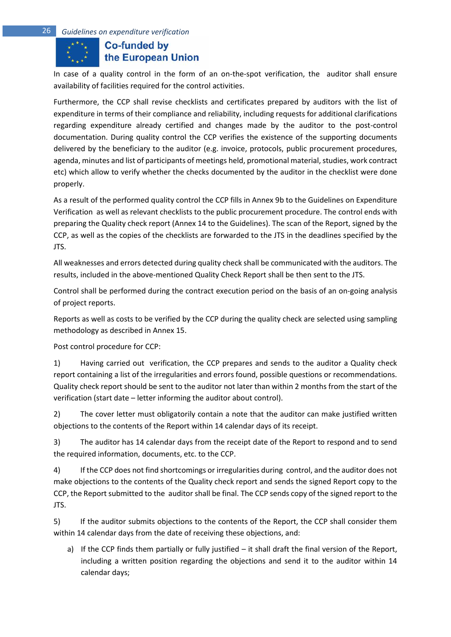In case of a quality control in the form of an on-the-spot verification, the auditor shall ensure availability of facilities required for the control activities.

Furthermore, the CCP shall revise checklists and certificates prepared by auditors with the list of expenditure in terms of their compliance and reliability, including requests for additional clarifications regarding expenditure already certified and changes made by the auditor to the post-control documentation. During quality control the CCP verifies the existence of the supporting documents delivered by the beneficiary to the auditor (e.g. invoice, protocols, public procurement procedures, agenda, minutes and list of participants of meetings held, promotional material, studies, work contract etc) which allow to verify whether the checks documented by the auditor in the checklist were done properly.

As a result of the performed quality control the CCP fills in Annex 9b to the Guidelines on Expenditure Verification as well as relevant checklists to the public procurement procedure. The control ends with preparing the Quality check report (Annex 14 to the Guidelines). The scan of the Report, signed by the CCP, as well as the copies of the checklists are forwarded to the JTS in the deadlines specified by the JTS.

All weaknesses and errors detected during quality check shall be communicated with the auditors. The results, included in the above-mentioned Quality Check Report shall be then sent to the JTS.

Control shall be performed during the contract execution period on the basis of an on-going analysis of project reports.

Reports as well as costs to be verified by the CCP during the quality check are selected using sampling methodology as described in Annex 15.

Post control procedure for CCP:

1) Having carried out verification, the CCP prepares and sends to the auditor a Quality check report containing a list of the irregularities and errors found, possible questions or recommendations. Quality check report should be sent to the auditor not later than within 2 months from the start of the verification (start date – letter informing the auditor about control).

2) The cover letter must obligatorily contain a note that the auditor can make justified written objections to the contents of the Report within 14 calendar days of its receipt.

3) The auditor has 14 calendar days from the receipt date of the Report to respond and to send the required information, documents, etc. to the CCP.

4) If the CCP does not find shortcomings or irregularities during control, and the auditor does not make objections to the contents of the Quality check report and sends the signed Report copy to the CCP, the Report submitted to the auditor shall be final. The CCP sends copy of the signed report to the JTS.

5) If the auditor submits objections to the contents of the Report, the CCP shall consider them within 14 calendar days from the date of receiving these objections, and:

a) If the CCP finds them partially or fully justified – it shall draft the final version of the Report, including a written position regarding the objections and send it to the auditor within 14 calendar days;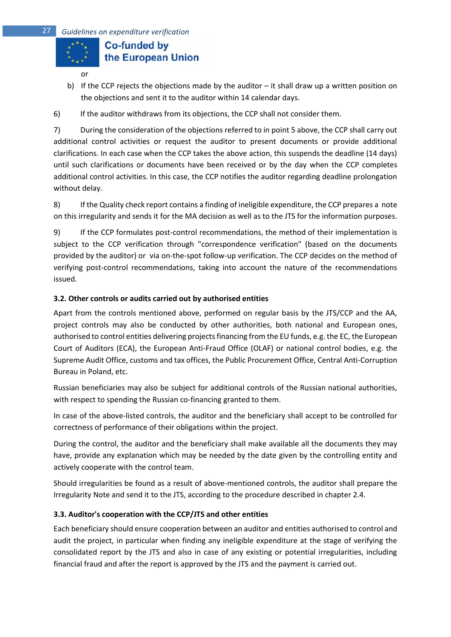

- b) If the CCP rejects the objections made by the auditor it shall draw up a written position on the objections and sent it to the auditor within 14 calendar days.
- 6) If the auditor withdraws from its objections, the CCP shall not consider them.

7) During the consideration of the objections referred to in point 5 above, the CCP shall carry out additional control activities or request the auditor to present documents or provide additional clarifications. In each case when the CCP takes the above action, this suspends the deadline (14 days) until such clarifications or documents have been received or by the day when the CCP completes additional control activities. In this case, the CCP notifies the auditor regarding deadline prolongation without delay.

8) If the Quality check report contains a finding of ineligible expenditure, the CCP prepares a note on this irregularity and sends it for the MA decision as well as to the JTS for the information purposes.

9) If the CCP formulates post-control recommendations, the method of their implementation is subject to the CCP verification through "correspondence verification" (based on the documents provided by the auditor) or via on-the-spot follow-up verification. The CCP decides on the method of verifying post-control recommendations, taking into account the nature of the recommendations issued.

## <span id="page-26-0"></span>**3.2. Other controls or audits carried out by authorised entities**

Apart from the controls mentioned above, performed on regular basis by the JTS/CCP and the AA, project controls may also be conducted by other authorities, both national and European ones, authorised to control entities delivering projects financing from the EU funds, e.g. the EC, the European Court of Auditors (ECA), the European Anti-Fraud Office (OLAF) or national control bodies, e.g. the Supreme Audit Office, customs and tax offices, the Public Procurement Office, Central Anti-Corruption Bureau in Poland, etc.

Russian beneficiaries may also be subject for additional controls of the Russian national authorities, with respect to spending the Russian co-financing granted to them.

In case of the above-listed controls, the auditor and the beneficiary shall accept to be controlled for correctness of performance of their obligations within the project.

During the control, the auditor and the beneficiary shall make available all the documents they may have, provide any explanation which may be needed by the date given by the controlling entity and actively cooperate with the control team.

Should irregularities be found as a result of above-mentioned controls, the auditor shall prepare the Irregularity Note and send it to the JTS, according to the procedure described in chapter 2.4.

## <span id="page-26-1"></span>**3.3. Auditor's cooperation with the CCP/JTS and other entities**

Each beneficiary should ensure cooperation between an auditor and entities authorised to control and audit the project, in particular when finding any ineligible expenditure at the stage of verifying the consolidated report by the JTS and also in case of any existing or potential irregularities, including financial fraud and after the report is approved by the JTS and the payment is carried out.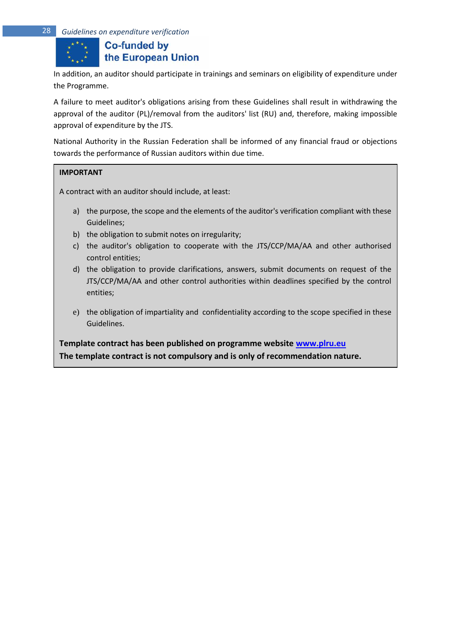In addition, an auditor should participate in trainings and seminars on eligibility of expenditure under the Programme.

A failure to meet auditor's obligations arising from these Guidelines shall result in withdrawing the approval of the auditor (PL)/removal from the auditors' list (RU) and, therefore, making impossible approval of expenditure by the JTS.

National Authority in the Russian Federation shall be informed of any financial fraud or objections towards the performance of Russian auditors within due time.

#### **IMPORTANT**

A contract with an auditor should include, at least:

- a) the purpose, the scope and the elements of the auditor's verification compliant with these Guidelines;
- b) the obligation to submit notes on irregularity;
- c) the auditor's obligation to cooperate with the JTS/CCP/MA/AA and other authorised control entities;
- d) the obligation to provide clarifications, answers, submit documents on request of the JTS/CCP/MA/AA and other control authorities within deadlines specified by the control entities;
- e) the obligation of impartiality and confidentiality according to the scope specified in these Guidelines.

**Template contract has been published on programme website [www.plru.eu](http://www.plru.eu/) The template contract is not compulsory and is only of recommendation nature.**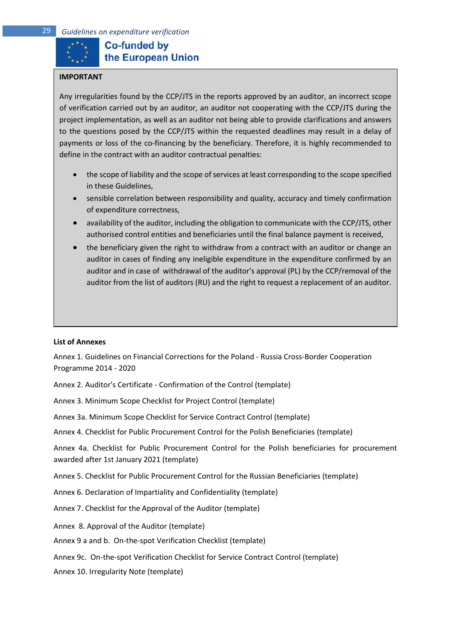

# **Co-funded by** the European Union

#### **IMPORTANT**

Any irregularities found by the CCP/JTS in the reports approved by an auditor, an incorrect scope of verification carried out by an auditor, an auditor not cooperating with the CCP/JTS during the project implementation, as well as an auditor not being able to provide clarifications and answers to the questions posed by the CCP/JTS within the requested deadlines may result in a delay of payments or loss of the co-financing by the beneficiary. Therefore, it is highly recommended to define in the contract with an auditor contractual penalties:

- the scope of liability and the scope of services at least corresponding to the scope specified in these Guidelines,
- sensible correlation between responsibility and quality, accuracy and timely confirmation of expenditure correctness,
- availability of the auditor, including the obligation to communicate with the CCP/JTS, other authorised control entities and beneficiaries until the final balance payment is received,
- the beneficiary given the right to withdraw from a contract with an auditor or change an auditor in cases of finding any ineligible expenditure in the expenditure confirmed by an auditor and in case of withdrawal of the auditor's approval (PL) by the CCP/removal of the auditor from the list of auditors (RU) and the right to request a replacement of an auditor.

#### **List of Annexes**

Annex 1. Guidelines on Financial Corrections for the Poland - Russia Cross-Border Cooperation Programme 2014 - 2020

Annex 2. Auditor's Certificate - Confirmation of the Control (template)

Annex 3. Minimum Scope Checklist for Project Control (template)

Annex 3a. Minimum Scope Checklist for Service Contract Control (template)

Annex 4. Checklist for Public Procurement Control for the Polish Beneficiaries (template)

Annex 4a. Checklist for Public Procurement Control for the Polish beneficiaries for procurement awarded after 1st January 2021 (template)

Annex 5. Checklist for Public Procurement Control for the Russian Beneficiaries (template)

Annex 6. Declaration of Impartiality and Confidentiality (template)

Annex 7. Checklist for the Approval of the Auditor (template)

Annex 8. Approval of the Auditor (template)

Annex 9 a and b. On-the-spot Verification Checklist (template)

Annex 9c. On-the-spot Verification Checklist for Service Contract Control (template)

Annex 10. Irregularity Note (template)